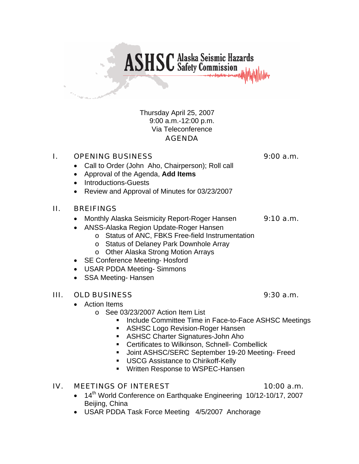## Thursday April 25, 2007 9:00 a.m.-12:00 p.m. Via Teleconference AGENDA

**ASHSC** Alaska Seismic Hazards

# I. OPENING BUSINESS 9:00 a.m.

- Call to Order (John Aho, Chairperson); Roll call
- Approval of the Agenda, **Add Items**
- Introductions-Guests
- Review and Approval of Minutes for 03/23/2007

## II. BREIFINGS

- Monthly Alaska Seismicity Report-Roger Hansen 9:10 a.m.
- ANSS-Alaska Region Update-Roger Hansen
	- o Status of ANC, FBKS Free-field Instrumentation
	- o Status of Delaney Park Downhole Array
	- o Other Alaska Strong Motion Arrays
- SE Conference Meeting- Hosford
- USAR PDDA Meeting- Simmons
- SSA Meeting- Hansen

# III. OLD BUSINESS 9:30 a.m.

- Action Items
	- o See 03/23/2007 Action Item List
		- **Include Committee Time in Face-to-Face ASHSC Meetings**
		- ASHSC Logo Revision-Roger Hansen
		- **ASHSC Charter Signatures-John Aho**
		- **EXEC** Certificates to Wilkinson, Schnell- Combellick
		- Joint ASHSC/SERC September 19-20 Meeting- Freed
		- **USCG Assistance to Chirikoff-Kelly**
		- **Written Response to WSPEC-Hansen**

## IV. MEETINGS OF INTEREST 10:00 a.m.

- 14<sup>th</sup> World Conference on Earthquake Engineering 10/12-10/17, 2007 Beiling, China
- USAR PDDA Task Force Meeting 4/5/2007 Anchorage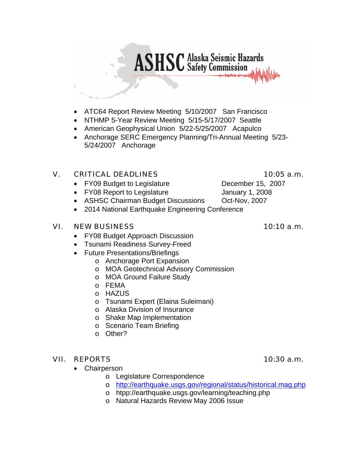- ATC64 Report Review Meeting 5/10/2007 San Francisco
- NTHMP 5-Year Review Meeting 5/15-5/17/2007 Seattle
- American Geophysical Union 5/22-5/25/2007 Acapulco
- Anchorage SERC Emergency Planning/Tri-Annual Meeting 5/23- 5/24/2007 Anchorage

**ASHSC** Alaska Seismic Hazards

# V. CRITICAL DEADLINES 10:05 a.m.

- FY09 Budget to Legislature December 15, 2007
- FY08 Report to Legislature January 1, 2008
- ASHSC Chairman Budget Discussions Oct-Nov, 2007
- 2014 National Earthquake Engineering Conference

## VI. NEW BUSINESS 10:10 a.m.

- FY08 Budget Approach Discussion
- Tsunami Readiness Survey-Freed
- Future Presentations/Briefings
	- o Anchorage Port Expansion
	- o MOA Geotechnical Advisory Commission
	- o MOA Ground Failure Study
	- o FEMA
	- o HAZUS
	- o Tsunami Expert (Elaina Suleimani)
	- o Alaska Division of Insurance
	- o Shake Map Implementation
	- o Scenario Team Briefing
	- o Other?

# VII. REPORTS 10:30 a.m.

- Chairperson
	- o Legislature Correspondence
	- o <http://earthquake.usgs.gov/regional/status/historical.mag.php>
	- o htpp://earthquake.usgs.gov/learning/teaching.php
	- o Natural Hazards Review May 2006 Issue

- 
-